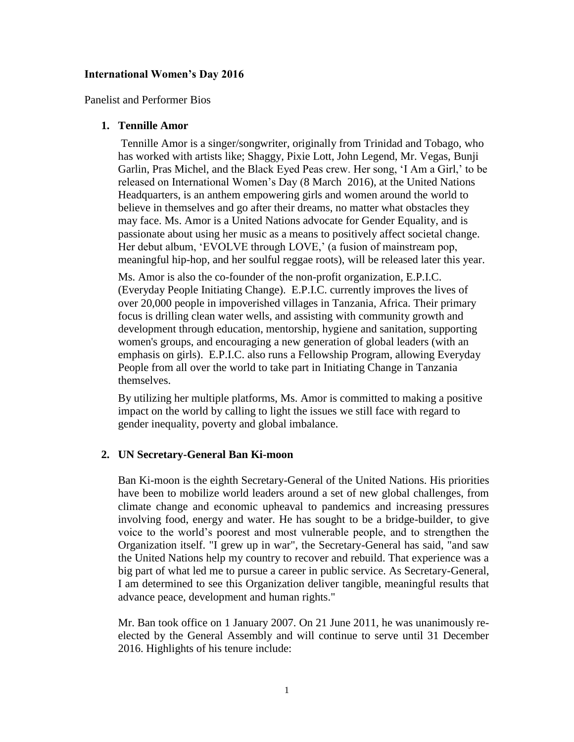## **International Women's Day 2016**

Panelist and Performer Bios

## **1. Tennille Amor**

Tennille Amor is a singer/songwriter, originally from Trinidad and Tobago, who has worked with artists like; Shaggy, Pixie Lott, John Legend, Mr. Vegas, Bunji Garlin, Pras Michel, and the Black Eyed Peas crew. Her song, 'I Am a Girl,' to be released on International Women's Day (8 March 2016), at the United Nations Headquarters, is an anthem empowering girls and women around the world to believe in themselves and go after their dreams, no matter what obstacles they may face. Ms. Amor is a United Nations advocate for Gender Equality, and is passionate about using her music as a means to positively affect societal change. Her debut album, 'EVOLVE through LOVE,' (a fusion of mainstream pop, meaningful hip-hop, and her soulful reggae roots), will be released later this year.

Ms. Amor is also the co-founder of the non-profit organization, E.P.I.C. (Everyday People Initiating Change). E.P.I.C. currently improves the lives of over 20,000 people in impoverished villages in Tanzania, Africa. Their primary focus is drilling clean water wells, and assisting with community growth and development through education, mentorship, hygiene and sanitation, supporting women's groups, and encouraging a new generation of global leaders (with an emphasis on girls). E.P.I.C. also runs a Fellowship Program, allowing Everyday People from all over the world to take part in Initiating Change in Tanzania themselves.

By utilizing her multiple platforms, Ms. Amor is committed to making a positive impact on the world by calling to light the issues we still face with regard to gender inequality, poverty and global imbalance.

# **2. UN Secretary-General Ban Ki-moon**

Ban Ki-moon is the eighth Secretary-General of the United Nations. His priorities have been to mobilize world leaders around a set of new global challenges, from climate change and economic upheaval to pandemics and increasing pressures involving food, energy and water. He has sought to be a bridge-builder, to give voice to the world's poorest and most vulnerable people, and to strengthen the Organization itself. "I grew up in war", the Secretary-General has said, "and saw the United Nations help my country to recover and rebuild. That experience was a big part of what led me to pursue a career in public service. As Secretary-General, I am determined to see this Organization deliver tangible, meaningful results that advance peace, development and human rights."

Mr. Ban took office on 1 January 2007. On 21 June 2011, he was unanimously reelected by the General Assembly and will continue to serve until 31 December 2016. Highlights of his tenure include: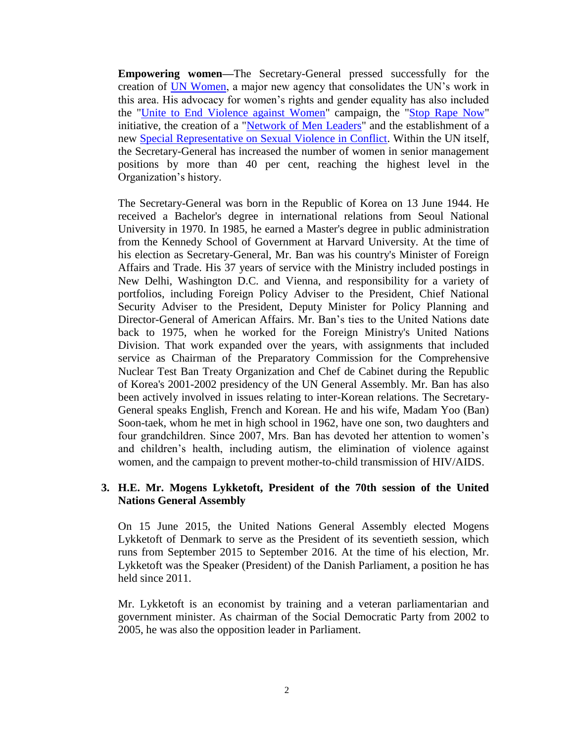**Empowering women—**The Secretary-General pressed successfully for the creation of [UN Women,](http://www.unwomen.org/) a major new agency that consolidates the UN's work in this area. His advocacy for women's rights and gender equality has also included the ["Unite to End Violence against Women"](http://www.un.org/en/women/endviolence/) campaign, the ["Stop Rape Now"](http://www.stoprapenow.org/) initiative, the creation of a ["Network of Men Leaders"](http://www.un.org/en/women/endviolence/network.shtml) and the establishment of a new [Special Representative on Sexual Violence in Conflict.](http://www.un.org/News/Press/docs/2010/sga1220.doc.htm) Within the UN itself, the Secretary-General has increased the number of women in senior management positions by more than 40 per cent, reaching the highest level in the Organization's history.

The Secretary-General was born in the Republic of Korea on 13 June 1944. He received a Bachelor's degree in international relations from Seoul National University in 1970. In 1985, he earned a Master's degree in public administration from the Kennedy School of Government at Harvard University. At the time of his election as Secretary-General, Mr. Ban was his country's Minister of Foreign Affairs and Trade. His 37 years of service with the Ministry included postings in New Delhi, Washington D.C. and Vienna, and responsibility for a variety of portfolios, including Foreign Policy Adviser to the President, Chief National Security Adviser to the President, Deputy Minister for Policy Planning and Director-General of American Affairs. Mr. Ban's ties to the United Nations date back to 1975, when he worked for the Foreign Ministry's United Nations Division. That work expanded over the years, with assignments that included service as Chairman of the Preparatory Commission for the Comprehensive Nuclear Test Ban Treaty Organization and Chef de Cabinet during the Republic of Korea's 2001-2002 presidency of the UN General Assembly. Mr. Ban has also been actively involved in issues relating to inter-Korean relations. The Secretary-General speaks English, French and Korean. He and his wife, Madam Yoo (Ban) Soon-taek, whom he met in high school in 1962, have one son, two daughters and four grandchildren. Since 2007, Mrs. Ban has devoted her attention to women's and children's health, including autism, the elimination of violence against women, and the campaign to prevent mother-to-child transmission of HIV/AIDS.

# **3. H.E. Mr. Mogens Lykketoft, President of the 70th session of the United Nations General Assembly**

On 15 June 2015, the United Nations General Assembly elected Mogens Lykketoft of Denmark to serve as the President of its seventieth session, which runs from September 2015 to September 2016. At the time of his election, Mr. Lykketoft was the Speaker (President) of the Danish Parliament, a position he has held since 2011.

Mr. Lykketoft is an economist by training and a veteran parliamentarian and government minister. As chairman of the Social Democratic Party from 2002 to 2005, he was also the opposition leader in Parliament.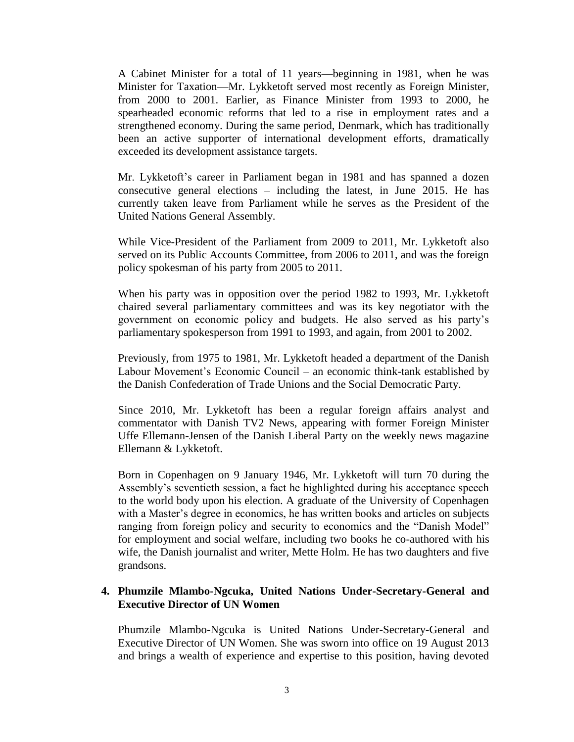A Cabinet Minister for a total of 11 years—beginning in 1981, when he was Minister for Taxation—Mr. Lykketoft served most recently as Foreign Minister, from 2000 to 2001. Earlier, as Finance Minister from 1993 to 2000, he spearheaded economic reforms that led to a rise in employment rates and a strengthened economy. During the same period, Denmark, which has traditionally been an active supporter of international development efforts, dramatically exceeded its development assistance targets.

Mr. Lykketoft's career in Parliament began in 1981 and has spanned a dozen consecutive general elections – including the latest, in June 2015. He has currently taken leave from Parliament while he serves as the President of the United Nations General Assembly.

While Vice-President of the Parliament from 2009 to 2011, Mr. Lykketoft also served on its Public Accounts Committee, from 2006 to 2011, and was the foreign policy spokesman of his party from 2005 to 2011.

When his party was in opposition over the period 1982 to 1993, Mr. Lykketoft chaired several parliamentary committees and was its key negotiator with the government on economic policy and budgets. He also served as his party's parliamentary spokesperson from 1991 to 1993, and again, from 2001 to 2002.

Previously, from 1975 to 1981, Mr. Lykketoft headed a department of the Danish Labour Movement's Economic Council – an economic think-tank established by the Danish Confederation of Trade Unions and the Social Democratic Party.

Since 2010, Mr. Lykketoft has been a regular foreign affairs analyst and commentator with Danish TV2 News, appearing with former Foreign Minister Uffe Ellemann-Jensen of the Danish Liberal Party on the weekly news magazine Ellemann & Lykketoft.

Born in Copenhagen on 9 January 1946, Mr. Lykketoft will turn 70 during the Assembly's seventieth session, a fact he highlighted during his acceptance speech to the world body upon his election. A graduate of the University of Copenhagen with a Master's degree in economics, he has written books and articles on subjects ranging from foreign policy and security to economics and the "Danish Model" for employment and social welfare, including two books he co-authored with his wife, the Danish journalist and writer, Mette Holm. He has two daughters and five grandsons.

## **4. Phumzile Mlambo-Ngcuka, United Nations Under-Secretary-General and Executive Director of UN Women**

Phumzile Mlambo-Ngcuka is United Nations Under-Secretary-General and Executive Director of UN Women. She was sworn into office on 19 August 2013 and brings a wealth of experience and expertise to this position, having devoted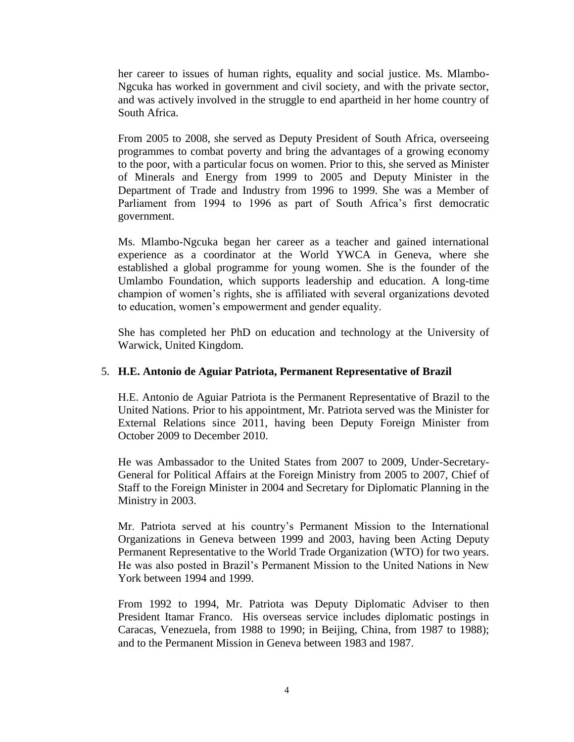her career to issues of human rights, equality and social justice. Ms. Mlambo-Ngcuka has worked in government and civil society, and with the private sector, and was actively involved in the struggle to end apartheid in her home country of South Africa.

From 2005 to 2008, she served as Deputy President of South Africa, overseeing programmes to combat poverty and bring the advantages of a growing economy to the poor, with a particular focus on women. Prior to this, she served as Minister of Minerals and Energy from 1999 to 2005 and Deputy Minister in the Department of Trade and Industry from 1996 to 1999. She was a Member of Parliament from 1994 to 1996 as part of South Africa's first democratic government.

Ms. Mlambo-Ngcuka began her career as a teacher and gained international experience as a coordinator at the World YWCA in Geneva, where she established a global programme for young women. She is the founder of the Umlambo Foundation, which supports leadership and education. A long-time champion of women's rights, she is affiliated with several organizations devoted to education, women's empowerment and gender equality.

She has completed her PhD on education and technology at the University of Warwick, United Kingdom.

# 5. **H.E. Antonio de Aguiar Patriota, Permanent Representative of Brazil**

H.E. Antonio de Aguiar Patriota is the Permanent Representative of Brazil to the United Nations. Prior to his appointment, Mr. Patriota served was the Minister for External Relations since 2011, having been Deputy Foreign Minister from October 2009 to December 2010.

He was Ambassador to the United States from 2007 to 2009, Under-Secretary-General for Political Affairs at the Foreign Ministry from 2005 to 2007, Chief of Staff to the Foreign Minister in 2004 and Secretary for Diplomatic Planning in the Ministry in 2003.

Mr. Patriota served at his country's Permanent Mission to the International Organizations in Geneva between 1999 and 2003, having been Acting Deputy Permanent Representative to the World Trade Organization (WTO) for two years. He was also posted in Brazil's Permanent Mission to the United Nations in New York between 1994 and 1999.

From 1992 to 1994, Mr. Patriota was Deputy Diplomatic Adviser to then President Itamar Franco. His overseas service includes diplomatic postings in Caracas, Venezuela, from 1988 to 1990; in Beijing, China, from 1987 to 1988); and to the Permanent Mission in Geneva between 1983 and 1987.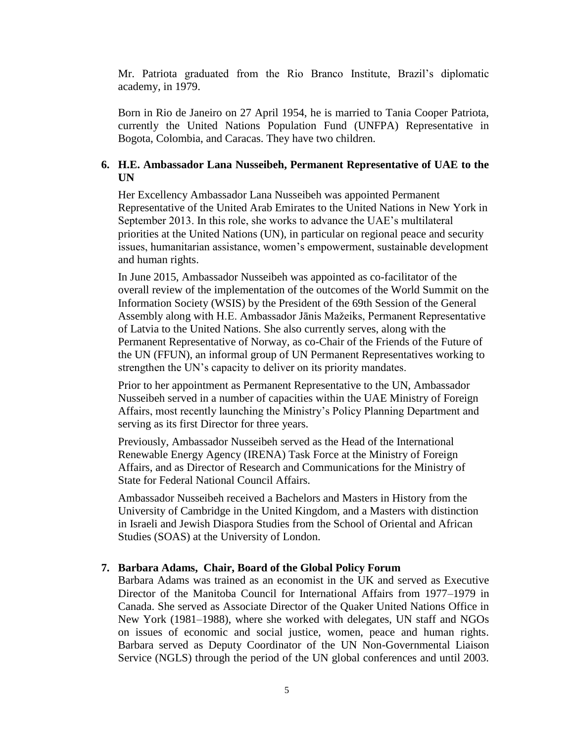Mr. Patriota graduated from the Rio Branco Institute, Brazil's diplomatic academy, in 1979.

Born in Rio de Janeiro on 27 April 1954, he is married to Tania Cooper Patriota, currently the United Nations Population Fund (UNFPA) Representative in Bogota, Colombia, and Caracas. They have two children.

# **6. H.E. Ambassador Lana Nusseibeh, Permanent Representative of UAE to the UN**

Her Excellency Ambassador Lana Nusseibeh was appointed Permanent Representative of the United Arab Emirates to the United Nations in New York in September 2013. In this role, she works to advance the UAE's multilateral priorities at the United Nations (UN), in particular on regional peace and security issues, humanitarian assistance, women's empowerment, sustainable development and human rights.

In June 2015, Ambassador Nusseibeh was appointed as co-facilitator of the overall review of the implementation of the outcomes of the World Summit on the Information Society (WSIS) by the President of the 69th Session of the General Assembly along with H.E. Ambassador Jānis Mažeiks, Permanent Representative of Latvia to the United Nations. She also currently serves, along with the Permanent Representative of Norway, as co-Chair of the Friends of the Future of the UN (FFUN), an informal group of UN Permanent Representatives working to strengthen the UN's capacity to deliver on its priority mandates.

Prior to her appointment as Permanent Representative to the UN, Ambassador Nusseibeh served in a number of capacities within the UAE Ministry of Foreign Affairs, most recently launching the Ministry's Policy Planning Department and serving as its first Director for three years.

Previously, Ambassador Nusseibeh served as the Head of the International Renewable Energy Agency (IRENA) Task Force at the Ministry of Foreign Affairs, and as Director of Research and Communications for the Ministry of State for Federal National Council Affairs.

Ambassador Nusseibeh received a Bachelors and Masters in History from the University of Cambridge in the United Kingdom, and a Masters with distinction in Israeli and Jewish Diaspora Studies from the School of Oriental and African Studies (SOAS) at the University of London.

#### **7. Barbara Adams, Chair, Board of the Global Policy Forum**

Barbara Adams was trained as an economist in the UK and served as Executive Director of the Manitoba Council for International Affairs from 1977–1979 in Canada. She served as Associate Director of the Quaker United Nations Office in New York (1981–1988), where she worked with delegates, UN staff and NGOs on issues of economic and social justice, women, peace and human rights. Barbara served as Deputy Coordinator of the UN Non-Governmental Liaison Service (NGLS) through the period of the UN global conferences and until 2003.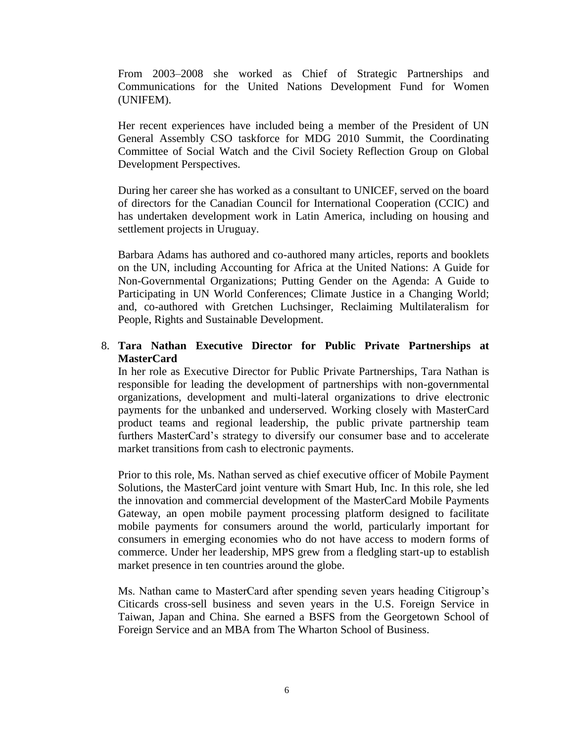From 2003–2008 she worked as Chief of Strategic Partnerships and Communications for the United Nations Development Fund for Women (UNIFEM).

Her recent experiences have included being a member of the President of UN General Assembly CSO taskforce for MDG 2010 Summit, the Coordinating Committee of Social Watch and the Civil Society Reflection Group on Global Development Perspectives.

During her career she has worked as a consultant to UNICEF, served on the board of directors for the Canadian Council for International Cooperation (CCIC) and has undertaken development work in Latin America, including on housing and settlement projects in Uruguay.

Barbara Adams has authored and co-authored many articles, reports and booklets on the UN, including Accounting for Africa at the United Nations: A Guide for Non-Governmental Organizations; Putting Gender on the Agenda: A Guide to Participating in UN World Conferences; Climate Justice in a Changing World; and, co-authored with Gretchen Luchsinger, Reclaiming Multilateralism for People, Rights and Sustainable Development.

# 8. **Tara Nathan Executive Director for Public Private Partnerships at MasterCard**

In her role as Executive Director for Public Private Partnerships, Tara Nathan is responsible for leading the development of partnerships with non-governmental organizations, development and multi-lateral organizations to drive electronic payments for the unbanked and underserved. Working closely with MasterCard product teams and regional leadership, the public private partnership team furthers MasterCard's strategy to diversify our consumer base and to accelerate market transitions from cash to electronic payments.

Prior to this role, Ms. Nathan served as chief executive officer of Mobile Payment Solutions, the MasterCard joint venture with Smart Hub, Inc. In this role, she led the innovation and commercial development of the MasterCard Mobile Payments Gateway, an open mobile payment processing platform designed to facilitate mobile payments for consumers around the world, particularly important for consumers in emerging economies who do not have access to modern forms of commerce. Under her leadership, MPS grew from a fledgling start-up to establish market presence in ten countries around the globe.

Ms. Nathan came to MasterCard after spending seven years heading Citigroup's Citicards cross-sell business and seven years in the U.S. Foreign Service in Taiwan, Japan and China. She earned a BSFS from the Georgetown School of Foreign Service and an MBA from The Wharton School of Business.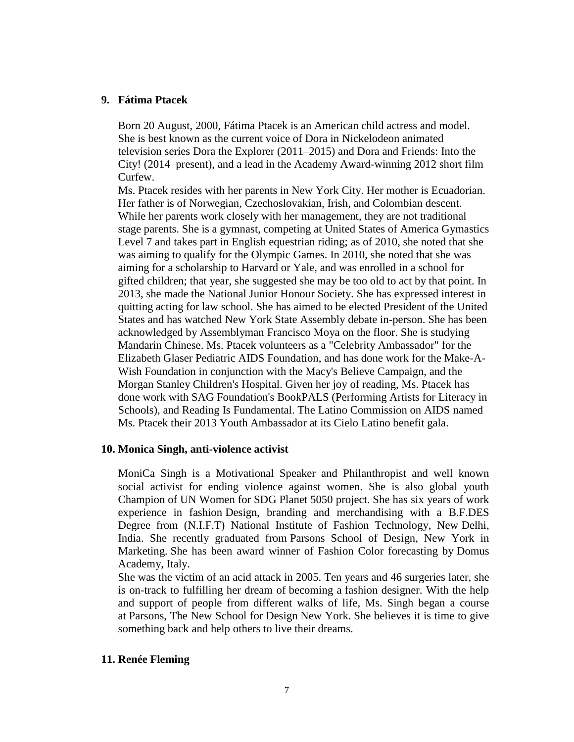#### **9. Fátima Ptacek**

Born 20 August, 2000, Fátima Ptacek is an American [child actress](https://en.wikipedia.org/wiki/Child_actress) and model. She is best known as the current voice of Dora in [Nickelodeon](https://en.wikipedia.org/wiki/Nickelodeon) animated television series [Dora the Explorer](https://en.wikipedia.org/wiki/Dora_the_Explorer) (2011–2015) and [Dora and Friends: Into the](https://en.wikipedia.org/wiki/Dora_and_Friends:_Into_the_City%21)  [City!](https://en.wikipedia.org/wiki/Dora_and_Friends:_Into_the_City%21) (2014–present), and a lead in the Academy Award-winning 2012 short film [Curfew.](https://en.wikipedia.org/wiki/Curfew_%282012_film%29)

Ms. Ptacek resides with her parents in New York City. Her mother is [Ecuadorian.](https://en.wikipedia.org/wiki/Ecuador) Her father is of Norwegian, [Czechoslovakian,](https://en.wikipedia.org/wiki/Czechoslovakia) Irish, and [Colombian](https://en.wikipedia.org/wiki/Colombia) descent. While her parents work closely with her management, they are not traditional [stage parents.](https://en.wikipedia.org/wiki/Stage_mother) She is a gymnast, competing at [United States of America Gymastics](https://en.wikipedia.org/wiki/United_States_of_America_Gymastics) Level 7 and takes part in English equestrian riding; as of 2010, she noted that she was aiming to qualify for the [Olympic Games.](https://en.wikipedia.org/wiki/Olympic_Games) In 2010, she noted that she was aiming for a scholarship to Harvard or Yale, and was enrolled in a school for gifted children; that year, she suggested she may be too old to act by that point. In 2013, she made the [National Junior Honour Society.](https://en.wikipedia.org/wiki/National_Junior_Honor_Society) She has expressed interest in quitting acting for law school. She has aimed to be elected [President of the United](https://en.wikipedia.org/wiki/President_of_the_United_States)  [States](https://en.wikipedia.org/wiki/President_of_the_United_States) and has watched [New York State Assembly](https://en.wikipedia.org/wiki/New_York_State_Assembly) debate in-person. She has been acknowledged by Assemblyman [Francisco Moya](https://en.wikipedia.org/wiki/Francisco_Moya) on the floor. She is studying [Mandarin Chinese.](https://en.wikipedia.org/wiki/Standard_Chinese) Ms. Ptacek volunteers as a "Celebrity Ambassador" for the [Elizabeth Glaser Pediatric AIDS Foundation,](https://en.wikipedia.org/wiki/Elizabeth_Glaser_Pediatric_AIDS_Foundation) and has done work for the [Make-A-](https://en.wikipedia.org/wiki/Make-A-Wish_Foundation)[Wish Foundation](https://en.wikipedia.org/wiki/Make-A-Wish_Foundation) in conjunction with the [Macy's](https://en.wikipedia.org/wiki/Macy%27s) Believe Campaign, and the [Morgan Stanley Children's Hospital.](https://en.wikipedia.org/wiki/Morgan_Stanley_Children%27s_Hospital) Given her joy of reading, Ms. Ptacek has done work with [SAG Foundation'](https://en.wikipedia.org/wiki/SAG_Foundation)s BookPALS (Performing Artists for Literacy in Schools), and [Reading Is Fundamental.](https://en.wikipedia.org/wiki/Reading_Is_Fundamental) The [Latino Commission on AIDS](https://en.wikipedia.org/wiki/Latino_Commission_on_AIDS) named Ms. Ptacek their 2013 Youth Ambassador at its Cielo Latino benefit gala.

#### **10. Monica Singh, anti-violence activist**

MoniCa Singh is a Motivational Speaker and Philanthropist and well known social activist for ending violence against women. She is also global youth Champion of UN Women for SDG Planet 5050 project. She has six years of work experience in fashion Design, branding and merchandising with a B.F.DES Degree from (N.I.F.T) National Institute of Fashion Technology, New Delhi, India. She recently graduated from Parsons School of Design, New York in Marketing. She has been award winner of Fashion Color forecasting by Domus Academy, Italy.

She was the victim of an acid attack in 2005. Ten years and 46 surgeries later, she is on-track to fulfilling her dream of becoming a fashion designer. With the help and support of people from different walks of life, Ms. Singh began a course at Parsons, The New School for Design New York. She believes it is time to give something back and help others to live their dreams.

# **11. Renée Fleming**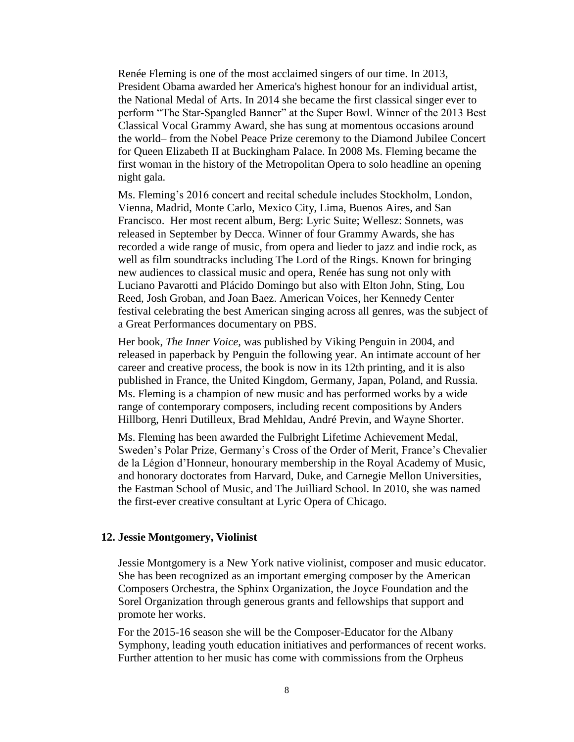Renée Fleming is one of the most acclaimed singers of our time. In 2013, President Obama awarded her America's highest honour for an individual artist, the National Medal of Arts. In 2014 she became the first classical singer ever to perform "The Star-Spangled Banner" at the Super Bowl. Winner of the 2013 Best Classical Vocal Grammy Award, she has sung at momentous occasions around the world– from the Nobel Peace Prize ceremony to the Diamond Jubilee Concert for Queen Elizabeth II at Buckingham Palace. In 2008 Ms. Fleming became the first woman in the history of the Metropolitan Opera to solo headline an opening night gala.

Ms. Fleming's 2016 concert and recital schedule includes Stockholm, London, Vienna, Madrid, Monte Carlo, Mexico City, Lima, Buenos Aires, and San Francisco. Her most recent album, Berg: Lyric Suite; Wellesz: Sonnets, was released in September by Decca. Winner of four Grammy Awards, she has recorded a wide range of music, from opera and lieder to jazz and indie rock, as well as film soundtracks including The Lord of the Rings. Known for bringing new audiences to classical music and opera, Renée has sung not only with Luciano Pavarotti and Plácido Domingo but also with Elton John, Sting, Lou Reed, Josh Groban, and Joan Baez. American Voices, her Kennedy Center festival celebrating the best American singing across all genres, was the subject of a Great Performances documentary on PBS.

Her book, *The Inner Voice,* was published by Viking Penguin in 2004, and released in paperback by Penguin the following year. An intimate account of her career and creative process, the book is now in its 12th printing, and it is also published in France, the United Kingdom, Germany, Japan, Poland, and Russia. Ms. Fleming is a champion of new music and has performed works by a wide range of contemporary composers, including recent compositions by Anders Hillborg, Henri Dutilleux, Brad Mehldau, André Previn, and Wayne Shorter.

Ms. Fleming has been awarded the Fulbright Lifetime Achievement Medal, Sweden's Polar Prize, Germany's Cross of the Order of Merit, France's Chevalier de la Légion d'Honneur, honourary membership in the Royal Academy of Music, and honorary doctorates from Harvard, Duke, and Carnegie Mellon Universities, the Eastman School of Music, and The Juilliard School. In 2010, she was named the first-ever creative consultant at Lyric Opera of Chicago.

#### **12. Jessie Montgomery, Violinist**

Jessie Montgomery is a New York native violinist, composer and music educator. She has been recognized as an important emerging composer by the American Composers Orchestra, the Sphinx Organization, the Joyce Foundation and the Sorel Organization through generous grants and fellowships that support and promote her works.

For the 2015-16 season she will be the Composer-Educator for the Albany Symphony, leading youth education initiatives and performances of recent works. Further attention to her music has come with commissions from the Orpheus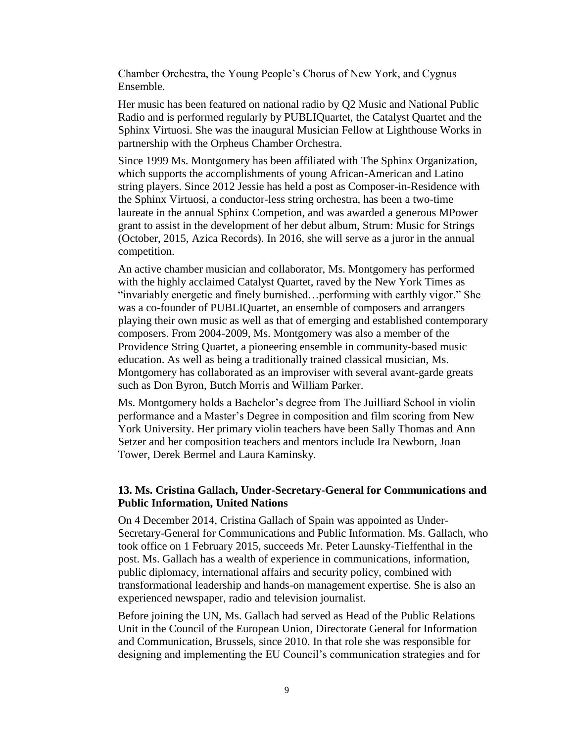Chamber Orchestra, the Young People's Chorus of New York, and Cygnus Ensemble.

Her music has been featured on national radio by Q2 Music and National Public Radio and is performed regularly by PUBLIQuartet, the Catalyst Quartet and the Sphinx Virtuosi. She was the inaugural Musician Fellow at Lighthouse Works in partnership with the Orpheus Chamber Orchestra.

Since 1999 Ms. Montgomery has been affiliated with The Sphinx Organization, which supports the accomplishments of young African-American and Latino string players. Since 2012 Jessie has held a post as Composer-in-Residence with the Sphinx Virtuosi, a conductor-less string orchestra, has been a two-time laureate in the annual Sphinx Competion, and was awarded a generous MPower grant to assist in the development of her debut album, Strum: Music for Strings (October, 2015, Azica Records). In 2016, she will serve as a juror in the annual competition.

An active chamber musician and collaborator, Ms. Montgomery has performed with the highly acclaimed Catalyst Quartet, raved by the New York Times as "invariably energetic and finely burnished…performing with earthly vigor." She was a co-founder of PUBLIQuartet, an ensemble of composers and arrangers playing their own music as well as that of emerging and established contemporary composers. From 2004-2009, Ms. Montgomery was also a member of the Providence String Quartet, a pioneering ensemble in community-based music education. As well as being a traditionally trained classical musician, Ms. Montgomery has collaborated as an improviser with several avant-garde greats such as Don Byron, Butch Morris and William Parker.

Ms. Montgomery holds a Bachelor's degree from The Juilliard School in violin performance and a Master's Degree in composition and film scoring from New York University. Her primary violin teachers have been Sally Thomas and Ann Setzer and her composition teachers and mentors include Ira Newborn, Joan Tower, Derek Bermel and Laura Kaminsky.

# **13. Ms. Cristina Gallach, Under-Secretary-General for Communications and Public Information, United Nations**

On 4 December 2014, Cristina Gallach of Spain was appointed as Under-Secretary-General for Communications and Public Information. Ms. Gallach, who took office on 1 February 2015, succeeds Mr. Peter Launsky-Tieffenthal in the post. Ms. Gallach has a wealth of experience in communications, information, public diplomacy, international affairs and security policy, combined with transformational leadership and hands-on management expertise. She is also an experienced newspaper, radio and television journalist.

Before joining the UN, Ms. Gallach had served as Head of the Public Relations Unit in the Council of the European Union, Directorate General for Information and Communication, Brussels, since 2010. In that role she was responsible for designing and implementing the EU Council's communication strategies and for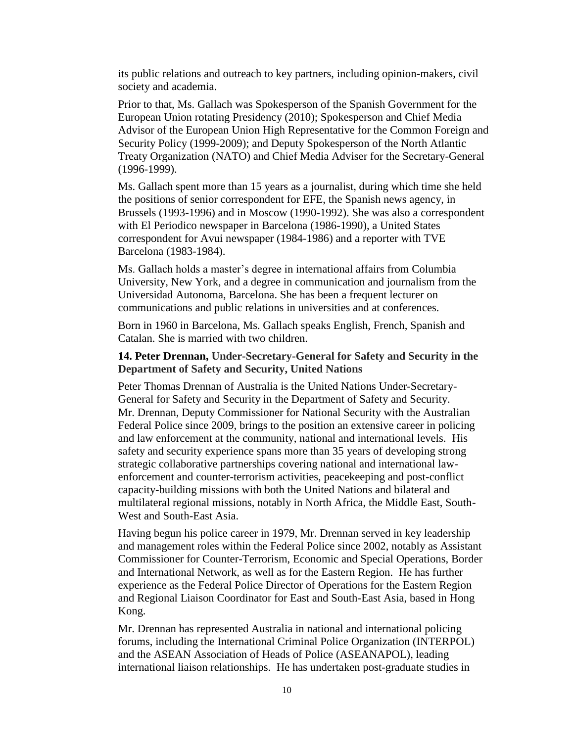its public relations and outreach to key partners, including opinion-makers, civil society and academia.

Prior to that, Ms. Gallach was Spokesperson of the Spanish Government for the European Union rotating Presidency (2010); Spokesperson and Chief Media Advisor of the European Union High Representative for the Common Foreign and Security Policy (1999-2009); and Deputy Spokesperson of the North Atlantic Treaty Organization (NATO) and Chief Media Adviser for the Secretary-General (1996-1999).

Ms. Gallach spent more than 15 years as a journalist, during which time she held the positions of senior correspondent for EFE, the Spanish news agency, in Brussels (1993-1996) and in Moscow (1990-1992). She was also a correspondent with El Periodico newspaper in Barcelona (1986-1990), a United States correspondent for Avui newspaper (1984-1986) and a reporter with TVE Barcelona (1983-1984).

Ms. Gallach holds a master's degree in international affairs from Columbia University, New York, and a degree in communication and journalism from the Universidad Autonoma, Barcelona. She has been a frequent lecturer on communications and public relations in universities and at conferences.

Born in 1960 in Barcelona, Ms. Gallach speaks English, French, Spanish and Catalan. She is married with two children.

## **14. Peter Drennan, Under-Secretary-General for Safety and Security in the Department of Safety and Security, United Nations**

Peter Thomas Drennan of Australia is the United Nations Under-Secretary-General for Safety and Security in the Department of Safety and Security. Mr. Drennan, Deputy Commissioner for National Security with the Australian Federal Police since 2009, brings to the position an extensive career in policing and law enforcement at the community, national and international levels. His safety and security experience spans more than 35 years of developing strong strategic collaborative partnerships covering national and international lawenforcement and counter-terrorism activities, peacekeeping and post-conflict capacity-building missions with both the United Nations and bilateral and multilateral regional missions, notably in North Africa, the Middle East, South-West and South-East Asia.

Having begun his police career in 1979, Mr. Drennan served in key leadership and management roles within the Federal Police since 2002, notably as Assistant Commissioner for Counter-Terrorism, Economic and Special Operations, Border and International Network, as well as for the Eastern Region. He has further experience as the Federal Police Director of Operations for the Eastern Region and Regional Liaison Coordinator for East and South-East Asia, based in Hong Kong.

Mr. Drennan has represented Australia in national and international policing forums, including the International Criminal Police Organization (INTERPOL) and the ASEAN Association of Heads of Police (ASEANAPOL), leading international liaison relationships. He has undertaken post-graduate studies in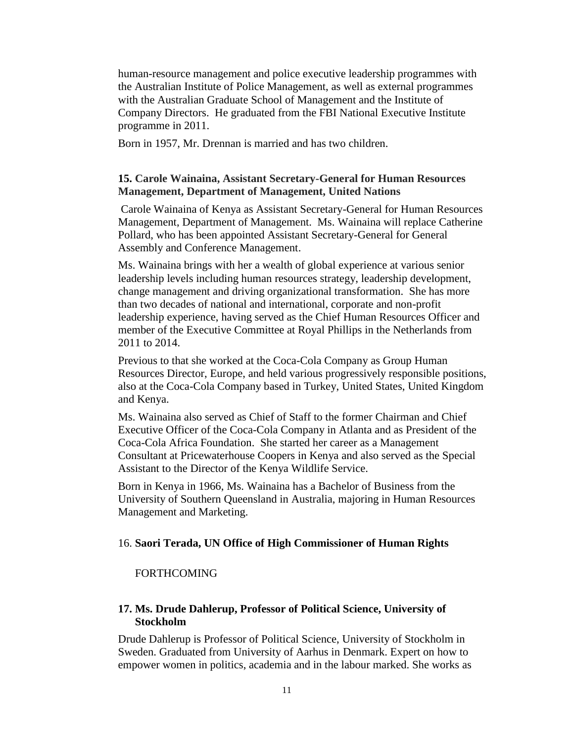human-resource management and police executive leadership programmes with the Australian Institute of Police Management, as well as external programmes with the Australian Graduate School of Management and the Institute of Company Directors. He graduated from the FBI National Executive Institute programme in 2011.

Born in 1957, Mr. Drennan is married and has two children.

# **15. Carole Wainaina, Assistant Secretary-General for Human Resources Management, Department of Management, United Nations**

Carole Wainaina of Kenya as Assistant Secretary-General for Human Resources Management, Department of Management. Ms. Wainaina will replace Catherine Pollard, who has been appointed Assistant Secretary-General for General Assembly and Conference Management.

Ms. Wainaina brings with her a wealth of global experience at various senior leadership levels including human resources strategy, leadership development, change management and driving organizational transformation. She has more than two decades of national and international, corporate and non-profit leadership experience, having served as the Chief Human Resources Officer and member of the Executive Committee at Royal Phillips in the Netherlands from 2011 to 2014.

Previous to that she worked at the Coca-Cola Company as Group Human Resources Director, Europe, and held various progressively responsible positions, also at the Coca-Cola Company based in Turkey, United States, United Kingdom and Kenya.

Ms. Wainaina also served as Chief of Staff to the former Chairman and Chief Executive Officer of the Coca-Cola Company in Atlanta and as President of the Coca-Cola Africa Foundation. She started her career as a Management Consultant at Pricewaterhouse Coopers in Kenya and also served as the Special Assistant to the Director of the Kenya Wildlife Service.

Born in Kenya in 1966, Ms. Wainaina has a Bachelor of Business from the University of Southern Queensland in Australia, majoring in Human Resources Management and Marketing.

#### 16. **Saori Terada, UN Office of High Commissioner of Human Rights**

#### FORTHCOMING

## **17. Ms. Drude Dahlerup, Professor of Political Science, University of Stockholm**

Drude Dahlerup is Professor of Political Science, University of Stockholm in Sweden. Graduated from University of Aarhus in Denmark. Expert on how to empower women in politics, academia and in the labour marked. She works as